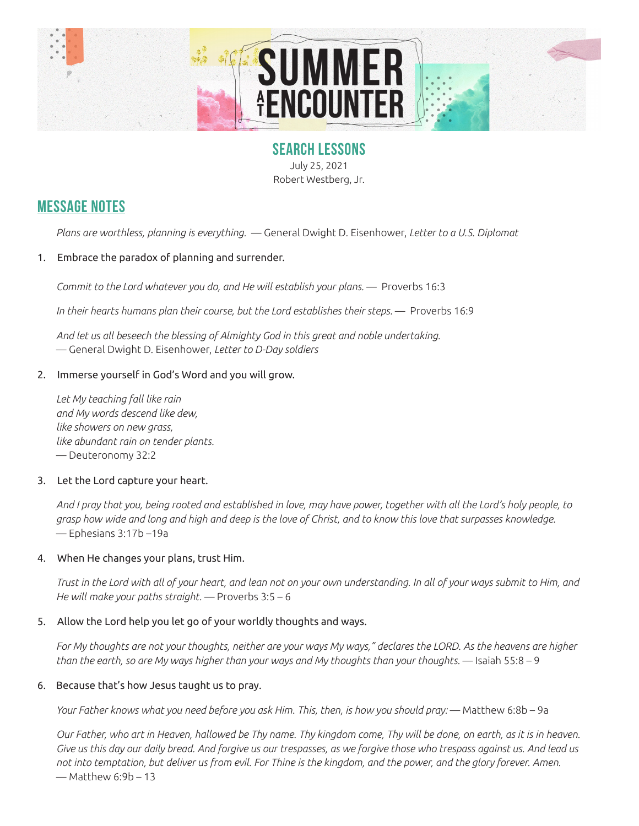

### **SEARCH LESSONS**

July 25, 2021 Robert Westberg, Jr.

## **MESSAGE NOTES**

*Plans are worthless, planning is everything.* — General Dwight D. Eisenhower, *Letter to a U.S. Diplomat*

#### 1. Embrace the paradox of planning and surrender.

*Commit to the Lord whatever you do, and He will establish your plans.* — Proverbs 16:3

In their hearts humans plan their course, but the Lord establishes their steps. — Proverbs 16:9

*And let us all beseech the blessing of Almighty God in this great and noble undertaking.*  — General Dwight D. Eisenhower, *Letter to D-Day soldiers*

#### 2. Immerse yourself in God's Word and you will grow.

*Let My teaching fall like rain and My words descend like dew, like showers on new grass, like abundant rain on tender plants.*  — Deuteronomy 32:2

#### 3. Let the Lord capture your heart.

*And I pray that you, being rooted and established in love, may have power, together with all the Lord's holy people, to grasp how wide and long and high and deep is the love of Christ, and to know this love that surpasses knowledge.* — Ephesians 3:17b –19a

#### 4. When He changes your plans, trust Him.

*Trust in the Lord with all of your heart, and lean not on your own understanding. In all of your ways submit to Him, and He will make your paths straight.* — Proverbs 3:5 – 6

#### 5. Allow the Lord help you let go of your worldly thoughts and ways.

*For My thoughts are not your thoughts, neither are your ways My ways," declares the LORD. As the heavens are higher than the earth, so are My ways higher than your ways and My thoughts than your thoughts.* — Isaiah 55:8 – 9

#### 6. Because that's how Jesus taught us to pray.

*Your Father knows what you need before you ask Him. This, then, is how you should pray:* — Matthew 6:8b – 9a

*Our Father, who art in Heaven, hallowed be Thy name. Thy kingdom come, Thy will be done, on earth, as it is in heaven. Give us this day our daily bread. And forgive us our trespasses, as we forgive those who trespass against us. And lead us not into temptation, but deliver us from evil. For Thine is the kingdom, and the power, and the glory forever. Amen.*  — Matthew 6:9b – 13